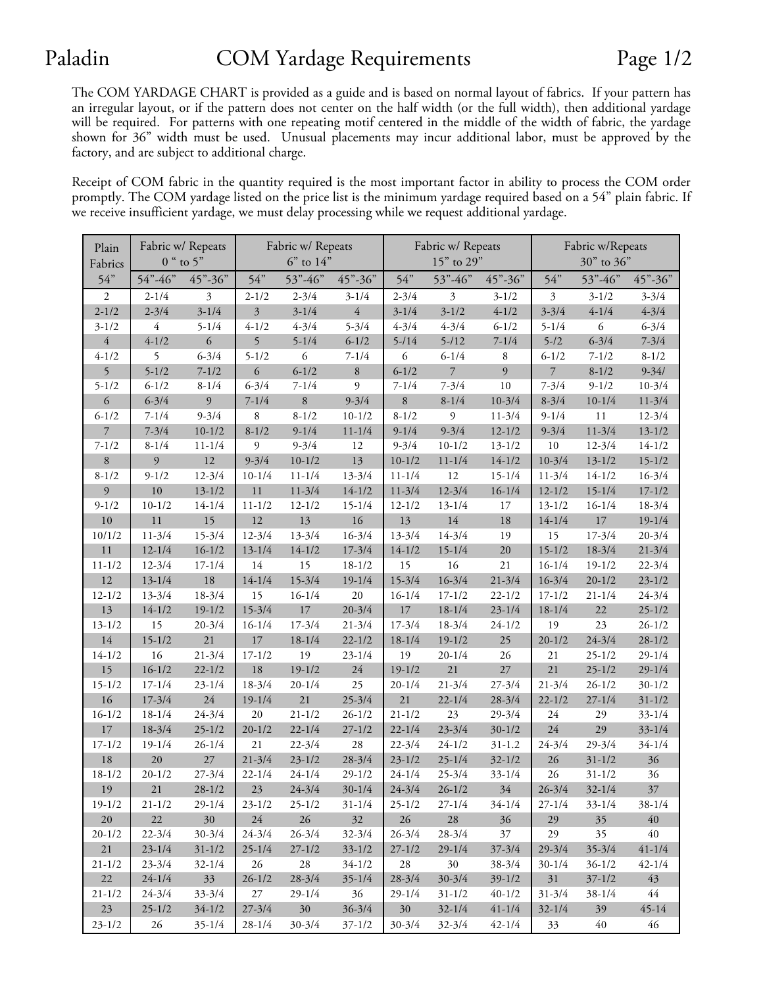The COM YARDAGE CHART is provided as a guide and is based on normal layout of fabrics. If your pattern has an irregular layout, or if the pattern does not center on the half width (or the full width), then additional yardage will be required. For patterns with one repeating motif centered in the middle of the width of fabric, the yardage shown for 36" width must be used. Unusual placements may incur additional labor, must be approved by the factory, and are subject to additional charge.

Receipt of COM fabric in the quantity required is the most important factor in ability to process the COM order promptly. The COM yardage listed on the price list is the minimum yardage required based on a 54" plain fabric. If we receive insufficient yardage, we must delay processing while we request additional yardage.

| Plain<br>Fabrics | Fabric w/ Repeats<br>$0$ " to 5" |            | Fabric w/ Repeats<br>$6"$ to $14"$ |            |                | Fabric w/ Repeats<br>$15"$ to $29"$ |                |                    | Fabric w/Repeats<br>30" to 36" |            |                    |
|------------------|----------------------------------|------------|------------------------------------|------------|----------------|-------------------------------------|----------------|--------------------|--------------------------------|------------|--------------------|
| 54"              | $54 - 46$                        | 45"-36"    | 54"                                | 53"-46"    | 45"-36"        | 54"                                 | 53"-46"        | $45" - 36"$        | 54"                            | 53"-46"    | 45"-36"            |
| $\mathbf{2}$     | $2 - 1/4$                        | 3          | $2 - 1/2$                          | $2 - 3/4$  | $3 - 1/4$      | $2 - 3/4$                           | $\mathfrak{Z}$ | $3 - 1/2$          | 3                              | $3 - 1/2$  | $3 - 3/4$          |
| $2 - 1/2$        | $2 - 3/4$                        | $3 - 1/4$  | $\mathfrak{Z}$                     | $3 - 1/4$  | $\overline{4}$ | $3 - 1/4$                           | $3 - 1/2$      | $4 - 1/2$          | $3 - 3/4$                      | $4 - 1/4$  | $4 - 3/4$          |
| $3 - 1/2$        | 4                                | $5 - 1/4$  | $4 - 1/2$                          | $4 - 3/4$  | $5 - 3/4$      | $4 - 3/4$                           | $4 - 3/4$      | $6 - 1/2$          | $5 - 1/4$                      | 6          | $6 - 3/4$          |
| $\overline{4}$   | $4 - 1/2$                        | 6          | 5                                  | $5 - 1/4$  | $6 - 1/2$      | $5 - 114$                           | $5 - 12$       | $7 - 1/4$          | $5 - 12$                       | $6 - 3/4$  | $7 - 3/4$          |
| $4-1/2$          | 5                                | $6 - 3/4$  | $5 - 1/2$                          | 6          | $7 - 1/4$      | 6                                   | $6 - 1/4$      | 8                  | $6 - 1/2$                      | $7 - 1/2$  | $8 - 1/2$          |
| 5                | $5 - 1/2$                        | $7 - 1/2$  | $\sqrt{6}$                         | $6 - 1/2$  | $\,8\,$        | $6 - 1/2$                           | $\overline{7}$ | 9                  | $\overline{7}$                 | $8 - 1/2$  | $9 - 34/$          |
| $5 - 1/2$        | $6 - 1/2$                        | $8 - 1/4$  | $6 - 3/4$                          | $7 - 1/4$  | 9              | $7 - 1/4$                           | $7 - 3/4$      | 10                 | $7 - 3/4$                      | $9 - 1/2$  | $10-3/4$           |
| 6                | $6 - 3/4$                        | 9          | $7 - 1/4$                          | $\,8\,$    | $9 - 3/4$      | 8                                   | $8 - 1/4$      | $10 - 3/4$         | $8 - 3/4$                      | $10 - 1/4$ | $11 - \frac{3}{4}$ |
| $6 - 1/2$        | $7 - 1/4$                        | $9 - 3/4$  | 8                                  | $8 - 1/2$  | $10-1/2$       | $8 - 1/2$                           | 9              | $11 - \frac{3}{4}$ | $9 - 1/4$                      | 11         | $12 - 3/4$         |
| $\overline{7}$   | $7 - 3/4$                        | $10-1/2$   | $8 - 1/2$                          | $9 - 1/4$  | $11 - 1/4$     | $9 - 1/4$                           | $9 - 3/4$      | $12 - 1/2$         | $9 - 3/4$                      | $11 - 3/4$ | $13 - 1/2$         |
| $7 - 1/2$        | $8 - 1/4$                        | $11 - 1/4$ | 9                                  | $9 - 3/4$  | 12             | $9 - 3/4$                           | $10-1/2$       | $13 - 1/2$         | 10                             | $12 - 3/4$ | $14 - 1/2$         |
| 8                | 9                                | 12         | $9 - 3/4$                          | $10-1/2$   | 13             | $10 - 1/2$                          | $11 - 1/4$     | $14-1/2$           | $10 - 3/4$                     | $13 - 1/2$ | $15 - 1/2$         |
| $8 - 1/2$        | $9 - 1/2$                        | $12 - 3/4$ | $10-1/4$                           | $11 - 1/4$ | $13 - 3/4$     | $11 - 1/4$                          | 12             | $15 - 1/4$         | $11 - \frac{3}{4}$             | $14 - 1/2$ | $16 - 3/4$         |
| 9                | 10                               | $13 - 1/2$ | 11                                 | $11 - 3/4$ | $14-1/2$       | $11 - 3/4$                          | $12 - 3/4$     | $16 - 1/4$         | $12 - 1/2$                     | $15 - 1/4$ | $17 - 1/2$         |
| $9 - 1/2$        | $10-1/2$                         | $14 - 1/4$ | $11 - 1/2$                         | $12 - 1/2$ | $15 - 1/4$     | $12 - 1/2$                          | $13 - 1/4$     | 17                 | $13 - 1/2$                     | $16 - 1/4$ | $18 - 3/4$         |
| 10               | 11                               | 15         | $12\,$                             | 13         | 16             | 13                                  | $14\,$         | 18                 | $14 - 1/4$                     | 17         | $19 - 1/4$         |
| 10/1/2           | $11 - \frac{3}{4}$               | $15 - 3/4$ | $12 - 3/4$                         | $13 - 3/4$ | $16 - 3/4$     | $13 - 3/4$                          | $14 - 3/4$     | 19                 | 15                             | $17 - 3/4$ | $20 - 3/4$         |
| 11               | $12 - 1/4$                       | $16 - 1/2$ | $13 - 1/4$                         | $14 - 1/2$ | $17 - 3/4$     | $14-1/2$                            | $15 - 1/4$     | 20                 | $15 - 1/2$                     | $18-3/4$   | $21 - 3/4$         |
| $11 - 1/2$       | $12 - 3/4$                       | $17 - 1/4$ | 14                                 | 15         | $18 - 1/2$     | 15                                  | 16             | 21                 | $16 - 1/4$                     | $19 - 1/2$ | $22 - 3/4$         |
| $12\,$           | $13 - 1/4$                       | $18\,$     | $14 - 1/4$                         | $15 - 3/4$ | $19 - 1/4$     | $15 - 3/4$                          | $16 - 3/4$     | $21 - 3/4$         | $16 - 3/4$                     | $20 - 1/2$ | $23 - 1/2$         |
| $12 - 1/2$       | $13 - 3/4$                       | $18 - 3/4$ | 15                                 | $16 - 1/4$ | 20             | $16 - 1/4$                          | $17 - 1/2$     | $22 - 1/2$         | $17 - 1/2$                     | $21 - 1/4$ | $24 - 3/4$         |
| 13               | $14-1/2$                         | $19 - 1/2$ | $15 - 3/4$                         | 17         | $20 - 3/4$     | $17\,$                              | $18 - 1/4$     | $23 - 1/4$         | $18 - 1/4$                     | $22\,$     | $25 - 1/2$         |
| $13 - 1/2$       | 15                               | $20 - 3/4$ | $16 - 1/4$                         | $17 - 3/4$ | $21 - 3/4$     | $17 - 3/4$                          | $18-3/4$       | $24 - 1/2$         | 19                             | 23         | $26 - 1/2$         |
| 14               | $15 - 1/2$                       | 21         | 17                                 | $18 - 1/4$ | $22 - 1/2$     | $18 - 1/4$                          | $19 - 1/2$     | 25                 | $20 - 1/2$                     | $24 - 3/4$ | $28 - 1/2$         |
| $14-1/2$         | 16                               | $21 - 3/4$ | $17 - 1/2$                         | 19         | $23 - 1/4$     | 19                                  | $20 - 1/4$     | 26                 | 21                             | $25 - 1/2$ | $29 - 1/4$         |
| 15               | $16 - 1/2$                       | $22 - 1/2$ | 18                                 | $19 - 1/2$ | 24             | $19 - 1/2$                          | $21\,$         | 27                 | 21                             | $25 - 1/2$ | $29 - 1/4$         |
| $15 - 1/2$       | $17 - 1/4$                       | $23 - 1/4$ | $18 - 3/4$                         | $20 - 1/4$ | 25             | $20 - 1/4$                          | $21 - 3/4$     | $27 - 3/4$         | $21 - 3/4$                     | $26 - 1/2$ | $30 - 1/2$         |
| 16               | $17 - 3/4$                       | 24         | $19 - 1/4$                         | $21\,$     | $25 - 3/4$     | 21                                  | $22 - 1/4$     | $28 - 3/4$         | $22 - 1/2$                     | $27 - 1/4$ | $31 - 1/2$         |
| $16 - 1/2$       | $18 - 1/4$                       | $24 - 3/4$ | 20                                 | $21 - 1/2$ | $26 - 1/2$     | $21 - 1/2$                          | 23             | $29 - 3/4$         | 24                             | 29         | $33 - 1/4$         |
| 17               | $18-3/4$                         | $25 - 1/2$ | $20 - 1/2$                         | $22 - 1/4$ | $27 - 1/2$     | $22 - 1/4$                          | $23 - 3/4$     | $30 - 1/2$         | 24                             | 29         | $33 - 1/4$         |
| $17 - 1/2$       | $19 - 1/4$                       | $26 - 1/4$ | 21                                 | $22 - 3/4$ | 28             | $22 - 3/4$                          | $24 - 1/2$     | $31 - 1.2$         | $24 - 3/4$                     | $29 - 3/4$ | $34 - 1/4$         |
| 18               | 20                               | 27         | $21 - 3/4$                         | $23 - 1/2$ | $28 - 3/4$     | $23 - 1/2$                          | $25 - 1/4$     | $32 - 1/2$         | 26                             | $31 - 1/2$ | 36                 |
| $18 - 1/2$       | $20 - 1/2$                       | $27 - 3/4$ | $22 - 1/4$                         | $24 - 1/4$ | $29 - 1/2$     | $24 - 1/4$                          | $25 - 3/4$     | $33 - 1/4$         | 26                             | $31 - 1/2$ | 36                 |
| 19               | 21                               | $28 - 1/2$ | 23                                 | $24 - 3/4$ | $30 - 1/4$     | $24 - 3/4$                          | $26 - 1/2$     | $34\,$             | $26 - 3/4$                     | $32 - 1/4$ | 37                 |
| $19 - 1/2$       | $21 - 1/2$                       | $29 - 1/4$ | $23 - 1/2$                         | $25 - 1/2$ | $31 - 1/4$     | $25 - 1/2$                          | $27 - 1/4$     | $34 - 1/4$         | 27-1/4                         | 33-1/4     | $38 - 1/4$         |
| 20               | 22                               | 30         | 24                                 | 26         | 32             | 26                                  | 28             | 36                 | 29                             | 35         | 40                 |
| $20 - 1/2$       | $22 - 3/4$                       | $30 - 3/4$ | $24 - 3/4$                         | $26 - 3/4$ | $32 - 3/4$     | $26 - 3/4$                          | $28 - 3/4$     | 37                 | 29                             | 35         | 40                 |
| 21               | $23 - 1/4$                       | $31 - 1/2$ | $25 - 1/4$                         | $27 - 1/2$ | $33 - 1/2$     | $27 - 1/2$                          | $29 - 1/4$     | $37 - 3/4$         | $29 - 3/4$                     | $35 - 3/4$ | $41 - 1/4$         |
| $21 - 1/2$       | $23 - 3/4$                       | $32 - 1/4$ | 26                                 | 28         | $34 - 1/2$     | 28                                  | 30             | $38 - 3/4$         | $30 - 1/4$                     | $36 - 1/2$ | $42 - 1/4$         |
| 22               | $24 - 1/4$                       | 33         | $26 - 1/2$                         | $28 - 3/4$ | $35 - 1/4$     | $28 - 3/4$                          | $30 - 3/4$     | $39-1/2$           | 31                             | $37 - 1/2$ | 43                 |
| $21 - 1/2$       | $24 - 3/4$                       | $33 - 3/4$ | 27                                 | $29 - 1/4$ | 36             | $29 - 1/4$                          | $31 - 1/2$     | $40 - 1/2$         | $31 - 3/4$                     | $38 - 1/4$ | 44                 |
| 23               | $25 - 1/2$                       | $34 - 1/2$ | $27 - 3/4$                         | 30         | $36 - 3/4$     | 30                                  | $32 - 1/4$     | $41 - 1/4$         | $32 - 1/4$                     | 39         | $45 - 14$          |
| $23 - 1/2$       | 26                               | $35 - 1/4$ | $28 - 1/4$                         | $30 - 3/4$ | $37 - 1/2$     | $30 - 3/4$                          | $32 - 3/4$     | $42 - 1/4$         | 33                             | 40         | 46                 |